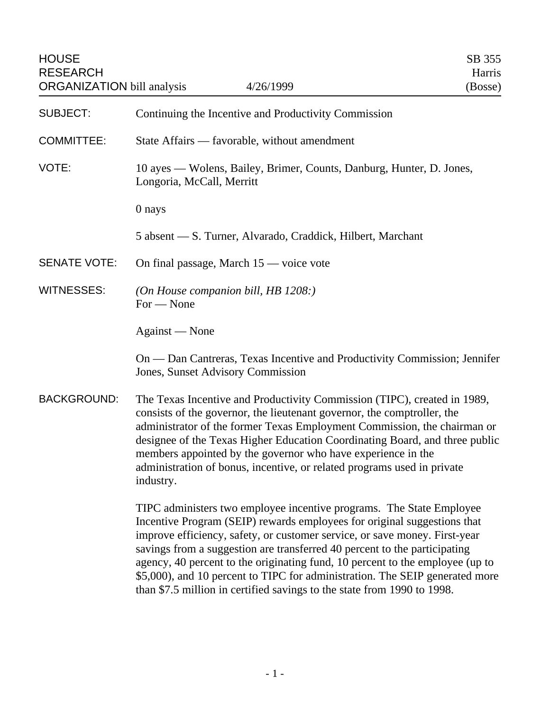| <b>HOUSE</b><br><b>RESEARCH</b><br><b>ORGANIZATION</b> bill analysis | 4/26/1999                                                                                                      | SB 355<br>Harris<br>(Bosse) |
|----------------------------------------------------------------------|----------------------------------------------------------------------------------------------------------------|-----------------------------|
| <b>SUBJECT:</b>                                                      | Continuing the Incentive and Productivity Commission                                                           |                             |
| <b>COMMITTEE:</b>                                                    | State Affairs — favorable, without amendment                                                                   |                             |
| VOTE:                                                                | 10 ayes — Wolens, Bailey, Brimer, Counts, Danburg, Hunter, D. Jones,<br>Longoria, McCall, Merritt              |                             |
|                                                                      | 0 nays                                                                                                         |                             |
|                                                                      | 5 absent — S. Turner, Alvarado, Craddick, Hilbert, Marchant                                                    |                             |
| <b>SENATE VOTE:</b>                                                  | On final passage, March 15 — voice vote                                                                        |                             |
| <b>WITNESSES:</b>                                                    | (On House companion bill, HB $1208$ .)<br>For - None                                                           |                             |
|                                                                      | Against — None                                                                                                 |                             |
|                                                                      | On — Dan Cantreras, Texas Incentive and Productivity Commission; Jennifer<br>Jones, Sunset Advisory Commission |                             |
| <u>DAOIZODOLINID.</u>                                                |                                                                                                                |                             |

BACKGROUND: The Texas Incentive and Productivity Commission (TIPC), created in 1989, consists of the governor, the lieutenant governor, the comptroller, the administrator of the former Texas Employment Commission, the chairman or designee of the Texas Higher Education Coordinating Board, and three public members appointed by the governor who have experience in the administration of bonus, incentive, or related programs used in private industry.

> TIPC administers two employee incentive programs. The State Employee Incentive Program (SEIP) rewards employees for original suggestions that improve efficiency, safety, or customer service, or save money. First-year savings from a suggestion are transferred 40 percent to the participating agency, 40 percent to the originating fund, 10 percent to the employee (up to \$5,000), and 10 percent to TIPC for administration. The SEIP generated more than \$7.5 million in certified savings to the state from 1990 to 1998.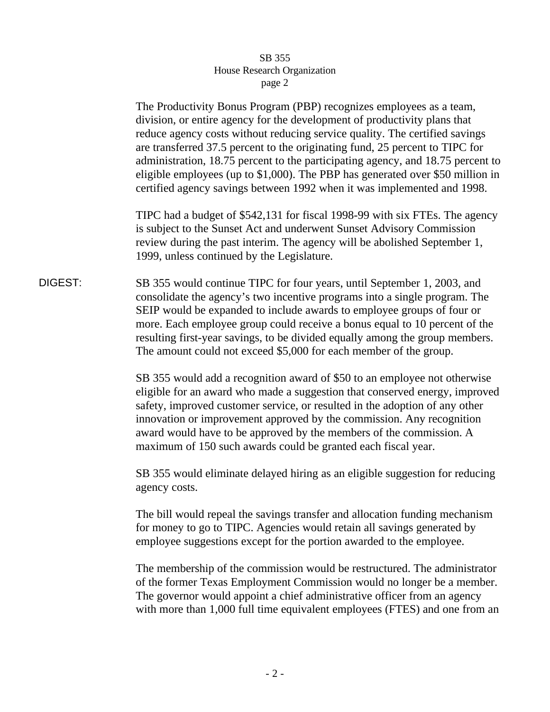## SB 355 House Research Organization page 2

The Productivity Bonus Program (PBP) recognizes employees as a team, division, or entire agency for the development of productivity plans that reduce agency costs without reducing service quality. The certified savings are transferred 37.5 percent to the originating fund, 25 percent to TIPC for administration, 18.75 percent to the participating agency, and 18.75 percent to eligible employees (up to \$1,000). The PBP has generated over \$50 million in certified agency savings between 1992 when it was implemented and 1998.

TIPC had a budget of \$542,131 for fiscal 1998-99 with six FTEs. The agency is subject to the Sunset Act and underwent Sunset Advisory Commission review during the past interim. The agency will be abolished September 1, 1999, unless continued by the Legislature.

## DIGEST: SB 355 would continue TIPC for four years, until September 1, 2003, and consolidate the agency's two incentive programs into a single program. The SEIP would be expanded to include awards to employee groups of four or more. Each employee group could receive a bonus equal to 10 percent of the resulting first-year savings, to be divided equally among the group members. The amount could not exceed \$5,000 for each member of the group.

SB 355 would add a recognition award of \$50 to an employee not otherwise eligible for an award who made a suggestion that conserved energy, improved safety, improved customer service, or resulted in the adoption of any other innovation or improvement approved by the commission. Any recognition award would have to be approved by the members of the commission. A maximum of 150 such awards could be granted each fiscal year.

SB 355 would eliminate delayed hiring as an eligible suggestion for reducing agency costs.

The bill would repeal the savings transfer and allocation funding mechanism for money to go to TIPC. Agencies would retain all savings generated by employee suggestions except for the portion awarded to the employee.

The membership of the commission would be restructured. The administrator of the former Texas Employment Commission would no longer be a member. The governor would appoint a chief administrative officer from an agency with more than 1,000 full time equivalent employees (FTES) and one from an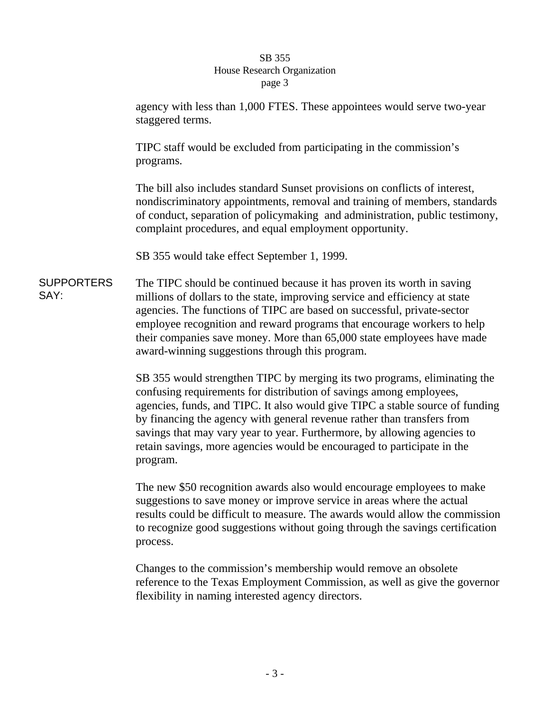## SB 355 House Research Organization page 3

agency with less than 1,000 FTES. These appointees would serve two-year staggered terms. TIPC staff would be excluded from participating in the commission's programs. The bill also includes standard Sunset provisions on conflicts of interest, nondiscriminatory appointments, removal and training of members, standards of conduct, separation of policymaking and administration, public testimony, complaint procedures, and equal employment opportunity. SB 355 would take effect September 1, 1999. SUPPORTERS The TIPC should be continued because it has proven its worth in saving millions of dollars to the state, improving service and efficiency at state agencies. The functions of TIPC are based on successful, private-sector employee recognition and reward programs that encourage workers to help their companies save money. More than 65,000 state employees have made award-winning suggestions through this program. SB 355 would strengthen TIPC by merging its two programs, eliminating the

SAY:

confusing requirements for distribution of savings among employees, agencies, funds, and TIPC. It also would give TIPC a stable source of funding by financing the agency with general revenue rather than transfers from savings that may vary year to year. Furthermore, by allowing agencies to retain savings, more agencies would be encouraged to participate in the program.

The new \$50 recognition awards also would encourage employees to make suggestions to save money or improve service in areas where the actual results could be difficult to measure. The awards would allow the commission to recognize good suggestions without going through the savings certification process.

Changes to the commission's membership would remove an obsolete reference to the Texas Employment Commission, as well as give the governor flexibility in naming interested agency directors.